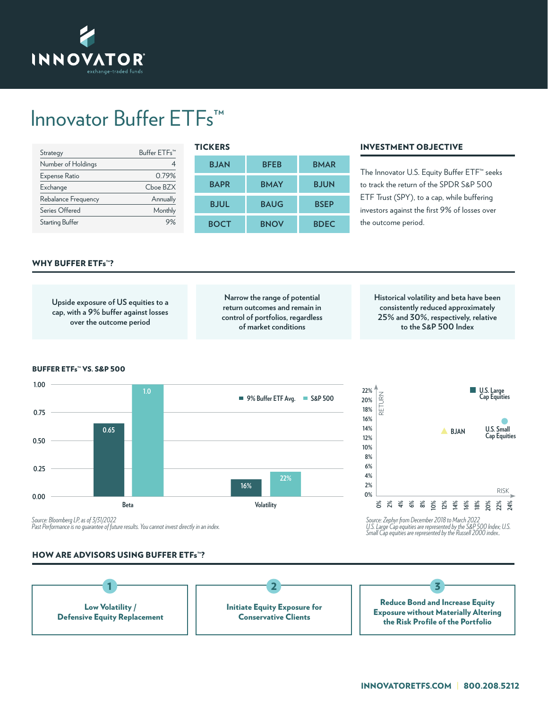

## Innovator Buffer ETFs™

| Strategy               | Buffer ETFs™ |
|------------------------|--------------|
| Number of Holdings     |              |
| Expense Ratio          | 0.79%        |
| Exchange               | $Choe$ BZX   |
| Rebalance Frequency    | Annually     |
| Series Offered         | Monthly      |
| <b>Starting Buffer</b> |              |

| <b>TICKERS</b> |             |             |  |  |  |  |  |  |
|----------------|-------------|-------------|--|--|--|--|--|--|
| <b>BJAN</b>    | <b>BFEB</b> | <b>BMAR</b> |  |  |  |  |  |  |
| <b>BAPR</b>    | <b>BMAY</b> | <b>BJUN</b> |  |  |  |  |  |  |
| <b>BJUL</b>    | <b>BAUG</b> | <b>BSEP</b> |  |  |  |  |  |  |
| <b>BOCT</b>    | <b>BNOV</b> | <b>BDEC</b> |  |  |  |  |  |  |

## INVESTMENT OBJECTIVE

The Innovator U.S. Equity Buffer ETF™ seeks to track the return of the SPDR S&P 500 ETF Trust (SPY), to a cap, while buffering investors against the first 9% of losses over the outcome period.

## WHY BUFFER ETFs™?

**Upside exposure of US equities to a cap, with a 9% buffer against losses over the outcome period Narrow the range of potential return outcomes and remain in control of portfolios, regardless of market conditions Historical volatility and beta have been consistently reduced approximately 25% and 30%, respectively, relative to the S&P 500 Index** BUFFER ETFs™ VS. S&P 500 **U.S. Large Cap Equities 1.00 0.75 0.50 0.25 0.00 BJAN U.S. Small Cap Equities 9% Buffer ETF Avg. S&P 500 Beta Volatility 0.65 1.0 16% 22% 0% 2% 4% 6% 8% 10% 12% 14% 16% 18% 20% 22% 24% 22% 20% 18% 16% 14% 12% 10% 8% 6% 4% 2% 0%** RISK RETURN

*Source: Bloomberg LP, as of 3/31/2022 Past Performance is no guarantee of future results. You cannot invest directly in an index. Source: Zephyr from December 2018 to March 2022*

## HOW ARE ADVISORS USING BUFFER ETFs™?



*U.S. Large Cap equities are represented by the S&P 500 Index; U.S. Small Cap equities are represented by the Russell 2000 index..*